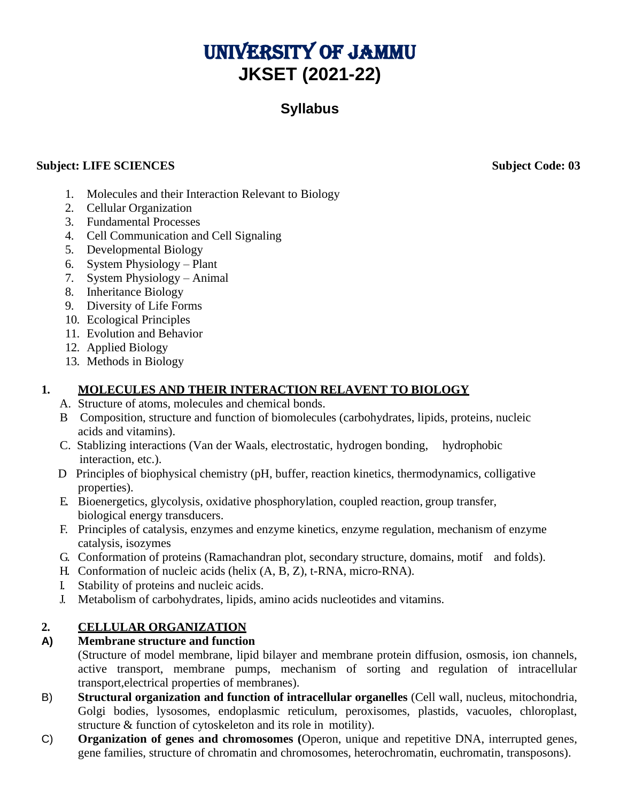# UNIVERSITY OF JAMMU **JKSET (2021-22)**

# **Syllabus**

#### **Subject: LIFE SCIENCES** Subject Code: 03

- 1. Molecules and their Interaction Relevant to Biology
- 2. Cellular Organization
- 3. Fundamental Processes
- 4. Cell Communication and Cell Signaling
- 5. Developmental Biology
- 6. System Physiology Plant
- 7. System Physiology Animal
- 8. Inheritance Biology
- 9. Diversity of Life Forms
- 10. Ecological Principles
- 11. Evolution and Behavior
- 12. Applied Biology
- 13. Methods in Biology

### **1. MOLECULES AND THEIR INTERACTION RELAVENT TO BIOLOGY**

- A. Structure of atoms, molecules and chemical bonds.
- B Composition, structure and function of biomolecules (carbohydrates, lipids, proteins, nucleic acids and vitamins).
- C. Stablizing interactions (Van der Waals, electrostatic, hydrogen bonding, hydrophobic interaction, etc.).
- D Principles of biophysical chemistry (pH, buffer, reaction kinetics, thermodynamics, colligative properties).
- E. Bioenergetics, glycolysis, oxidative phosphorylation, coupled reaction, group transfer, biological energy transducers.
- F. Principles of catalysis, enzymes and enzyme kinetics, enzyme regulation, mechanism of enzyme catalysis, isozymes
- G. Conformation of proteins (Ramachandran plot, secondary structure, domains, motif and folds).
- H. Conformation of nucleic acids (helix (A, B, Z), t-RNA, micro-RNA).
- I. Stability of proteins and nucleic acids.
- J. Metabolism of carbohydrates, lipids, amino acids nucleotides and vitamins.

### **2. CELLULAR ORGANIZATION**

#### **A) Membrane structure and function**

(Structure of model membrane, lipid bilayer and membrane protein diffusion, osmosis, ion channels, active transport, membrane pumps, mechanism of sorting and regulation of intracellular transport,electrical properties of membranes).

- B) **Structural organization and function of intracellular organelles** (Cell wall, nucleus, mitochondria, Golgi bodies, lysosomes, endoplasmic reticulum, peroxisomes, plastids, vacuoles, chloroplast, structure & function of cytoskeleton and its role in motility).
- C) **Organization of genes and chromosomes (**Operon, unique and repetitive DNA, interrupted genes, gene families, structure of chromatin and chromosomes, heterochromatin, euchromatin, transposons).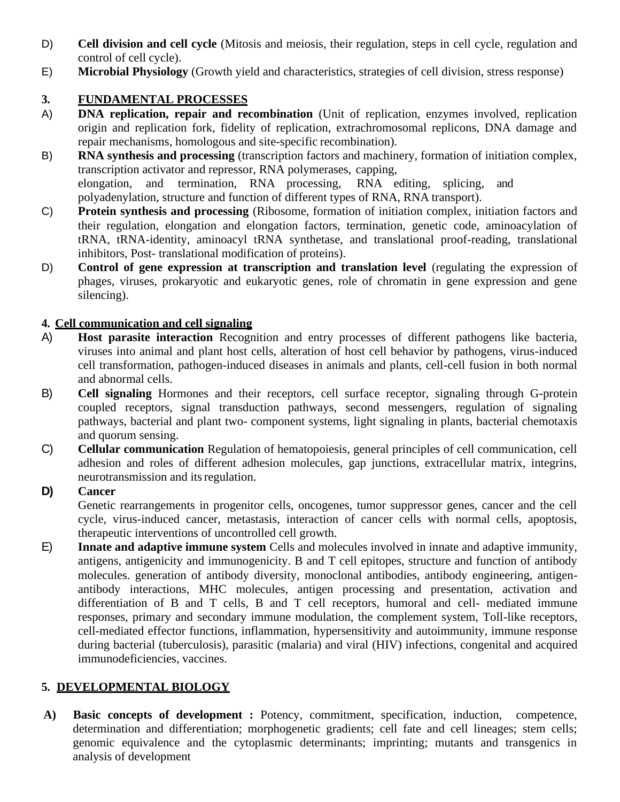- D) **Cell division and cell cycle** (Mitosis and meiosis, their regulation, steps in cell cycle, regulation and control of cell cycle).
- E) **Microbial Physiology** (Growth yield and characteristics, strategies of cell division, stress response)

# **3. FUNDAMENTAL PROCESSES**

- A) **DNA replication, repair and recombination** (Unit of replication, enzymes involved, replication origin and replication fork, fidelity of replication, extrachromosomal replicons, DNA damage and repair mechanisms, homologous and site-specific recombination).
- B) **RNA synthesis and processing** (transcription factors and machinery, formation of initiation complex, transcription activator and repressor, RNA polymerases, capping, elongation, and termination, RNA processing, RNA editing, splicing, and polyadenylation, structure and function of different types of RNA, RNA transport).
- C) **Protein synthesis and processing** (Ribosome, formation of initiation complex, initiation factors and their regulation, elongation and elongation factors, termination, genetic code, aminoacylation of tRNA, tRNA-identity, aminoacyl tRNA synthetase, and translational proof-reading, translational inhibitors, Post- translational modification of proteins).
- D) **Control of gene expression at transcription and translation level** (regulating the expression of phages, viruses, prokaryotic and eukaryotic genes, role of chromatin in gene expression and gene silencing).

### **4. Cell communication and cell signaling**

- A) **Host parasite interaction** Recognition and entry processes of different pathogens like bacteria, viruses into animal and plant host cells, alteration of host cell behavior by pathogens, virus-induced cell transformation, pathogen-induced diseases in animals and plants, cell-cell fusion in both normal and abnormal cells.
- B) **Cell signaling** Hormones and their receptors, cell surface receptor, signaling through G-protein coupled receptors, signal transduction pathways, second messengers, regulation of signaling pathways, bacterial and plant two- component systems, light signaling in plants, bacterial chemotaxis and quorum sensing.
- C) **Cellular communication** Regulation of hematopoiesis, general principles of cell communication, cell adhesion and roles of different adhesion molecules, gap junctions, extracellular matrix, integrins, neurotransmission and itsregulation.

### **D) Cancer**

Genetic rearrangements in progenitor cells, oncogenes, tumor suppressor genes, cancer and the cell cycle, virus-induced cancer, metastasis, interaction of cancer cells with normal cells, apoptosis, therapeutic interventions of uncontrolled cell growth.

E) **Innate and adaptive immune system** Cells and molecules involved in innate and adaptive immunity, antigens, antigenicity and immunogenicity. B and T cell epitopes, structure and function of antibody molecules. generation of antibody diversity, monoclonal antibodies, antibody engineering, antigenantibody interactions, MHC molecules, antigen processing and presentation, activation and differentiation of B and T cells, B and T cell receptors, humoral and cell- mediated immune responses, primary and secondary immune modulation, the complement system, Toll-like receptors, cell-mediated effector functions, inflammation, hypersensitivity and autoimmunity, immune response during bacterial (tuberculosis), parasitic (malaria) and viral (HIV) infections, congenital and acquired immunodeficiencies, vaccines.

# **5. DEVELOPMENTAL BIOLOGY**

**A) Basic concepts of development :** Potency, commitment, specification, induction, competence, determination and differentiation; morphogenetic gradients; cell fate and cell lineages; stem cells; genomic equivalence and the cytoplasmic determinants; imprinting; mutants and transgenics in analysis of development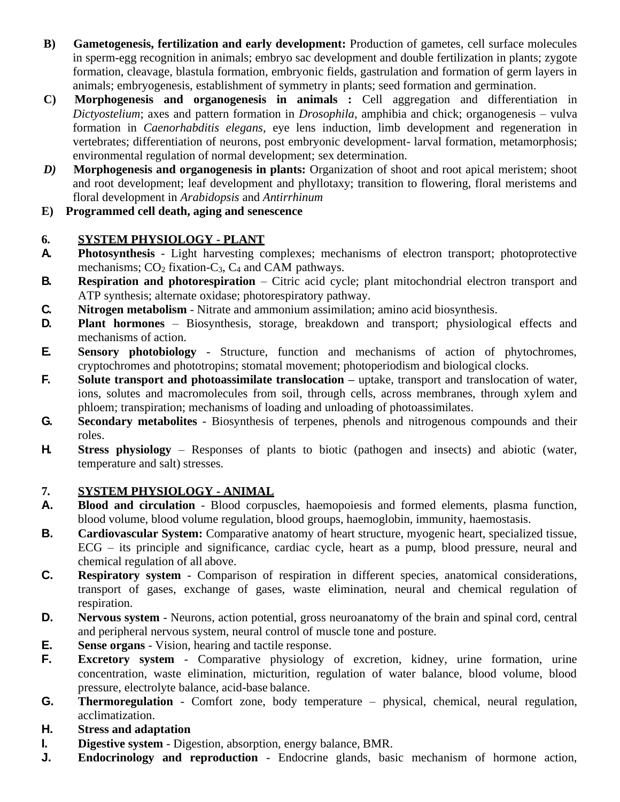- **B) Gametogenesis, fertilization and early development:** Production of gametes, cell surface molecules in sperm-egg recognition in animals; embryo sac development and double fertilization in plants; zygote formation, cleavage, blastula formation, embryonic fields, gastrulation and formation of germ layers in animals; embryogenesis, establishment of symmetry in plants; seed formation and germination.
- **C) Morphogenesis and organogenesis in animals :** Cell aggregation and differentiation in *Dictyostelium*; axes and pattern formation in *Drosophila*, amphibia and chick; organogenesis – vulva formation in *Caenorhabditis elegans*, eye lens induction, limb development and regeneration in vertebrates; differentiation of neurons, post embryonic development- larval formation, metamorphosis; environmental regulation of normal development; sex determination.
- *D)* Morphogenesis and organogenesis in plants: Organization of shoot and root apical meristem; shoot and root development; leaf development and phyllotaxy; transition to flowering, floral meristems and floral development in *Arabidopsis* and *Antirrhinum*
- **E) Programmed cell death, aging and senescence**

### **6. SYSTEM PHYSIOLOGY - PLANT**

- **A. Photosynthesis**  Light harvesting complexes; mechanisms of electron transport; photoprotective mechanisms;  $CO<sub>2</sub>$  fixation-C<sub>3</sub>, C<sub>4</sub> and CAM pathways.
- **B. Respiration and photorespiration** Citric acid cycle; plant mitochondrial electron transport and ATP synthesis; alternate oxidase; photorespiratory pathway.
- **C. Nitrogen metabolism**  Nitrate and ammonium assimilation; amino acid biosynthesis.
- **D. Plant hormones**  Biosynthesis, storage, breakdown and transport; physiological effects and mechanisms of action.
- **E. Sensory photobiology**  Structure, function and mechanisms of action of phytochromes, cryptochromes and phototropins; stomatal movement; photoperiodism and biological clocks.
- **F. Solute transport and photoassimilate translocation –** uptake, transport and translocation of water, ions, solutes and macromolecules from soil, through cells, across membranes, through xylem and phloem; transpiration; mechanisms of loading and unloading of photoassimilates.
- **G. Secondary metabolites**  Biosynthesis of terpenes, phenols and nitrogenous compounds and their roles.
- **H. Stress physiology**  Responses of plants to biotic (pathogen and insects) and abiotic (water, temperature and salt) stresses.

### **7. SYSTEM PHYSIOLOGY - ANIMAL**

- **A. Blood and circulation**  Blood corpuscles, haemopoiesis and formed elements, plasma function, blood volume, blood volume regulation, blood groups, haemoglobin, immunity, haemostasis.
- **B. Cardiovascular System:** Comparative anatomy of heart structure, myogenic heart, specialized tissue, ECG – its principle and significance, cardiac cycle, heart as a pump, blood pressure, neural and chemical regulation of all above.
- **C. Respiratory system**  Comparison of respiration in different species, anatomical considerations, transport of gases, exchange of gases, waste elimination, neural and chemical regulation of respiration.
- **D. Nervous system** Neurons, action potential, gross neuroanatomy of the brain and spinal cord, central and peripheral nervous system, neural control of muscle tone and posture.
- **E. Sense organs**  Vision, hearing and tactile response.
- **F. Excretory system** Comparative physiology of excretion, kidney, urine formation, urine concentration, waste elimination, micturition, regulation of water balance, blood volume, blood pressure, electrolyte balance, acid-base balance.
- **G. Thermoregulation**  Comfort zone, body temperature physical, chemical, neural regulation, acclimatization.
- **H. Stress and adaptation**
- **I. Digestive system**  Digestion, absorption, energy balance, BMR.
- **J. Endocrinology and reproduction**  Endocrine glands, basic mechanism of hormone action,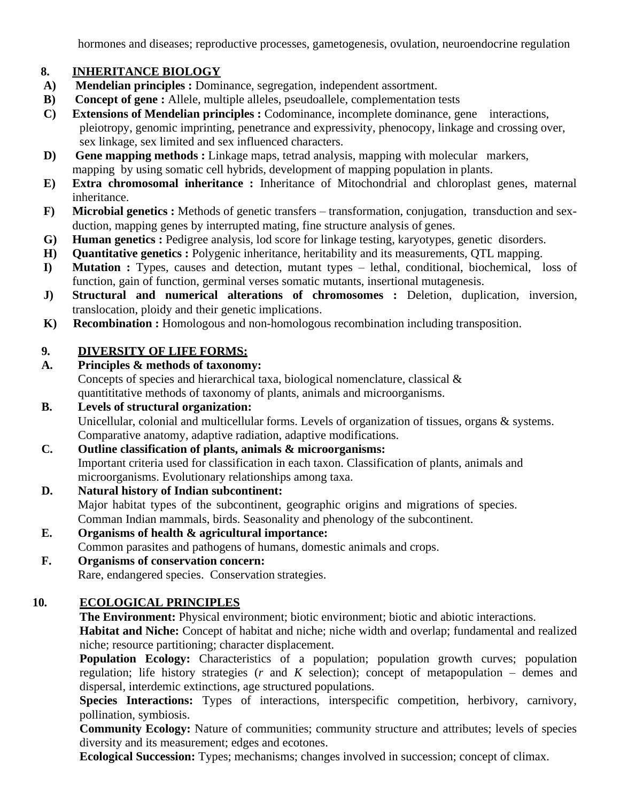hormones and diseases; reproductive processes, gametogenesis, ovulation, neuroendocrine regulation

### **8. INHERITANCE BIOLOGY**

- **A) Mendelian principles :** Dominance, segregation, independent assortment.
- **B) Concept of gene :** Allele, multiple alleles, pseudoallele, complementation tests
- **C) Extensions of Mendelian principles :** Codominance, incomplete dominance, gene interactions, pleiotropy, genomic imprinting, penetrance and expressivity, phenocopy, linkage and crossing over, sex linkage, sex limited and sex influenced characters.
- **D) Gene mapping methods :** Linkage maps, tetrad analysis, mapping with molecular markers, mapping by using somatic cell hybrids, development of mapping population in plants.
- **E) Extra chromosomal inheritance :** Inheritance of Mitochondrial and chloroplast genes, maternal inheritance.
- **F) Microbial genetics :** Methods of genetic transfers transformation, conjugation, transduction and sexduction, mapping genes by interrupted mating, fine structure analysis of genes.
- **G) Human genetics :** Pedigree analysis, lod score for linkage testing, karyotypes, genetic disorders.
- **H) Quantitative genetics :** Polygenic inheritance, heritability and its measurements, QTL mapping.
- **I) Mutation :** Types, causes and detection, mutant types lethal, conditional, biochemical, loss of function, gain of function, germinal verses somatic mutants, insertional mutagenesis.
- **J) Structural and numerical alterations of chromosomes :** Deletion, duplication, inversion, translocation, ploidy and their genetic implications.
- **K)** Recombination : Homologous and non-homologous recombination including transposition.

### **9. DIVERSITY OF LIFE FORMS:**

**A. Principles & methods of taxonomy:** Concepts of species and hierarchical taxa, biological nomenclature, classical & quantititative methods of taxonomy of plants, animals and microorganisms.

# **B. Levels of structural organization:**

Unicellular, colonial and multicellular forms. Levels of organization of tissues, organs & systems. Comparative anatomy, adaptive radiation, adaptive modifications.

- **C. Outline classification of plants, animals & microorganisms:** Important criteria used for classification in each taxon. Classification of plants, animals and microorganisms. Evolutionary relationships among taxa.
- **D. Natural history of Indian subcontinent:** Major habitat types of the subcontinent, geographic origins and migrations of species. Comman Indian mammals, birds. Seasonality and phenology of the subcontinent.
- **E. Organisms of health & agricultural importance:** Common parasites and pathogens of humans, domestic animals and crops.
- **F. Organisms of conservation concern:**

Rare, endangered species. Conservation strategies.

### **10. ECOLOGICAL PRINCIPLES**

**The Environment:** Physical environment; biotic environment; biotic and abiotic interactions.

**Habitat and Niche:** Concept of habitat and niche; niche width and overlap; fundamental and realized niche; resource partitioning; character displacement.

**Population Ecology:** Characteristics of a population; population growth curves; population regulation; life history strategies (*r* and *K* selection); concept of metapopulation – demes and dispersal, interdemic extinctions, age structured populations.

**Species Interactions:** Types of interactions, interspecific competition, herbivory, carnivory, pollination, symbiosis.

**Community Ecology:** Nature of communities; community structure and attributes; levels of species diversity and its measurement; edges and ecotones.

**Ecological Succession:** Types; mechanisms; changes involved in succession; concept of climax.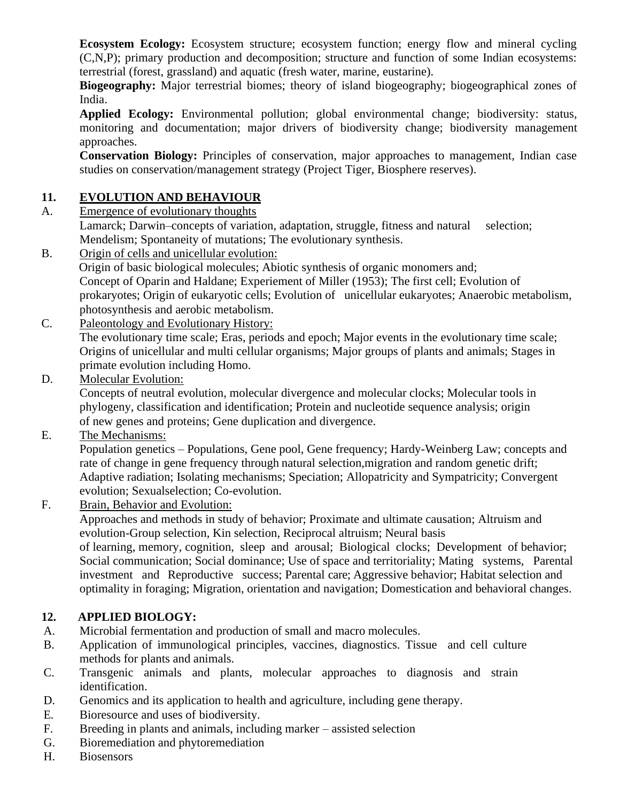**Ecosystem Ecology:** Ecosystem structure; ecosystem function; energy flow and mineral cycling (C,N,P); primary production and decomposition; structure and function of some Indian ecosystems: terrestrial (forest, grassland) and aquatic (fresh water, marine, eustarine).

**Biogeography:** Major terrestrial biomes; theory of island biogeography; biogeographical zones of India.

**Applied Ecology:** Environmental pollution; global environmental change; biodiversity: status, monitoring and documentation; major drivers of biodiversity change; biodiversity management approaches.

**Conservation Biology:** Principles of conservation, major approaches to management, Indian case studies on conservation/management strategy (Project Tiger, Biosphere reserves).

### **11. EVOLUTION AND BEHAVIOUR**

A. Emergence of evolutionary thoughts

Lamarck; Darwin–concepts of variation, adaptation, struggle, fitness and natural selection; Mendelism; Spontaneity of mutations; The evolutionary synthesis.

- B. Origin of cells and unicellular evolution: Origin of basic biological molecules; Abiotic synthesis of organic monomers and; Concept of Oparin and Haldane; Experiement of Miller (1953); The first cell; Evolution of prokaryotes; Origin of eukaryotic cells; Evolution of unicellular eukaryotes; Anaerobic metabolism, photosynthesis and aerobic metabolism.
- C. Paleontology and Evolutionary History: The evolutionary time scale; Eras, periods and epoch; Major events in the evolutionary time scale; Origins of unicellular and multi cellular organisms; Major groups of plants and animals; Stages in primate evolution including Homo.
- D. Molecular Evolution:

Concepts of neutral evolution, molecular divergence and molecular clocks; Molecular tools in phylogeny, classification and identification; Protein and nucleotide sequence analysis; origin of new genes and proteins; Gene duplication and divergence.

E. The Mechanisms:

Population genetics – Populations, Gene pool, Gene frequency; Hardy-Weinberg Law; concepts and rate of change in gene frequency through natural selection,migration and random genetic drift; Adaptive radiation; Isolating mechanisms; Speciation; Allopatricity and Sympatricity; Convergent evolution; Sexualselection; Co-evolution.

F. Brain, Behavior and Evolution:

Approaches and methods in study of behavior; Proximate and ultimate causation; Altruism and evolution-Group selection, Kin selection, Reciprocal altruism; Neural basis

of learning, memory, cognition, sleep and arousal; Biological clocks; Development of behavior; Social communication; Social dominance; Use of space and territoriality; Mating systems, Parental investment and Reproductive success; Parental care; Aggressive behavior; Habitat selection and optimality in foraging; Migration, orientation and navigation; Domestication and behavioral changes.

# **12. APPLIED BIOLOGY:**

- A. Microbial fermentation and production of small and macro molecules.
- B. Application of immunological principles, vaccines, diagnostics. Tissue and cell culture methods for plants and animals.
- C. Transgenic animals and plants, molecular approaches to diagnosis and strain identification.
- D. Genomics and its application to health and agriculture, including gene therapy.
- E. Bioresource and uses of biodiversity.
- F. Breeding in plants and animals, including marker assisted selection
- G. Bioremediation and phytoremediation
- H. Biosensors